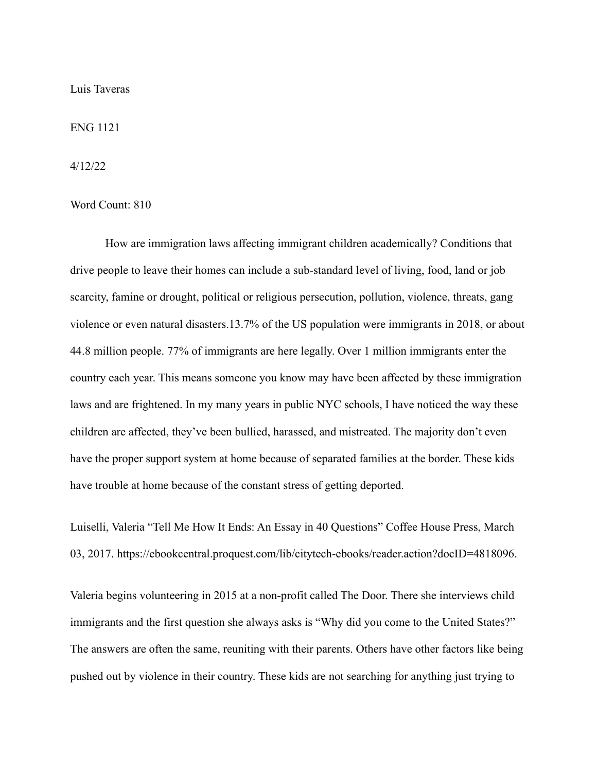## Luis Taveras

ENG 1121

4/12/22

Word Count: 810

How are immigration laws affecting immigrant children academically? Conditions that drive people to leave their homes can include a sub-standard level of living, food, land or job scarcity, famine or drought, political or religious persecution, pollution, violence, threats, gang violence or even natural disasters.13.7% of the US population were immigrants in 2018, or about 44.8 million people. 77% of immigrants are here legally. Over 1 million immigrants enter the country each year. This means someone you know may have been affected by these immigration laws and are frightened. In my many years in public NYC schools, I have noticed the way these children are affected, they've been bullied, harassed, and mistreated. The majority don't even have the proper support system at home because of separated families at the border. These kids have trouble at home because of the constant stress of getting deported.

Luiselli, Valeria "Tell Me How It Ends: An Essay in 40 Questions" Coffee House Press, March 03, 2017. https://ebookcentral.proquest.com/lib/citytech-ebooks/reader.action?docID=4818096.

Valeria begins volunteering in 2015 at a non-profit called The Door. There she interviews child immigrants and the first question she always asks is "Why did you come to the United States?" The answers are often the same, reuniting with their parents. Others have other factors like being pushed out by violence in their country. These kids are not searching for anything just trying to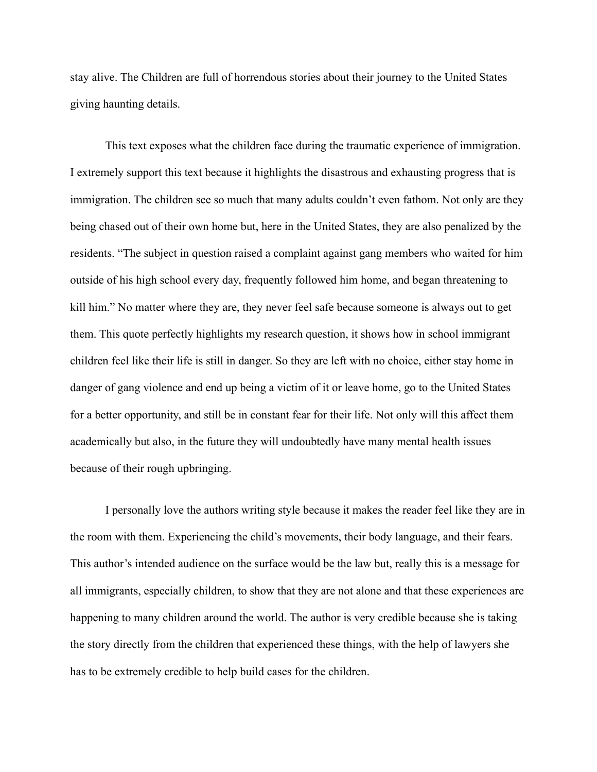stay alive. The Children are full of horrendous stories about their journey to the United States giving haunting details.

This text exposes what the children face during the traumatic experience of immigration. I extremely support this text because it highlights the disastrous and exhausting progress that is immigration. The children see so much that many adults couldn't even fathom. Not only are they being chased out of their own home but, here in the United States, they are also penalized by the residents. "The subject in question raised a complaint against gang members who waited for him outside of his high school every day, frequently followed him home, and began threatening to kill him." No matter where they are, they never feel safe because someone is always out to get them. This quote perfectly highlights my research question, it shows how in school immigrant children feel like their life is still in danger. So they are left with no choice, either stay home in danger of gang violence and end up being a victim of it or leave home, go to the United States for a better opportunity, and still be in constant fear for their life. Not only will this affect them academically but also, in the future they will undoubtedly have many mental health issues because of their rough upbringing.

I personally love the authors writing style because it makes the reader feel like they are in the room with them. Experiencing the child's movements, their body language, and their fears. This author's intended audience on the surface would be the law but, really this is a message for all immigrants, especially children, to show that they are not alone and that these experiences are happening to many children around the world. The author is very credible because she is taking the story directly from the children that experienced these things, with the help of lawyers she has to be extremely credible to help build cases for the children.